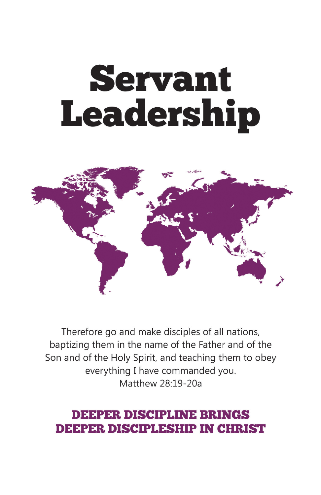# **Servant Leadership**



Therefore go and make disciples of all nations, baptizing them in the name of the Father and of the Son and of the Holy Spirit, and teaching them to obey everything I have commanded you. Matthew 28.19-20a

## **DEEPER DISCIPLINE BRINGS DEEPER DISCIPLESHIP IN CHRIST**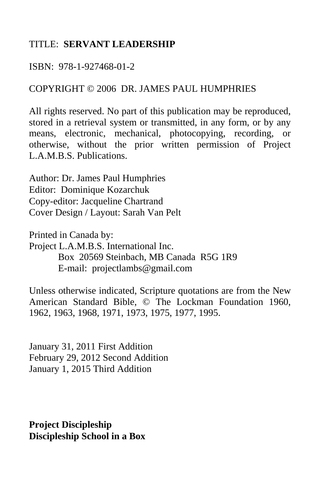#### TITLE: **SERVANT LEADERSHIP**

ISBN: 978-1-927468-01-2

#### COPYRIGHT © 2006 DR. JAMES PAUL HUMPHRIES

All rights reserved. No part of this publication may be reproduced, stored in a retrieval system or transmitted, in any form, or by any means, electronic, mechanical, photocopying, recording, or otherwise, without the prior written permission of Project L.A.M.B.S. Publications.

Author: Dr. James Paul Humphries Editor: Dominique Kozarchuk Copy-editor: Jacqueline Chartrand Cover Design / Layout: Sarah Van Pelt

Printed in Canada by: Project L.A.M.B.S. International Inc. Box 20569 Steinbach, MB Canada R5G 1R9 E-mail: projectlambs@gmail.com

Unless otherwise indicated, Scripture quotations are from the New American Standard Bible, © The Lockman Foundation 1960, 1962, 1963, 1968, 1971, 1973, 1975, 1977, 1995.

January 31, 2011 First Addition February 29, 2012 Second Addition January 1, 2015 Third Addition

**Project Discipleship Discipleship School in a Box**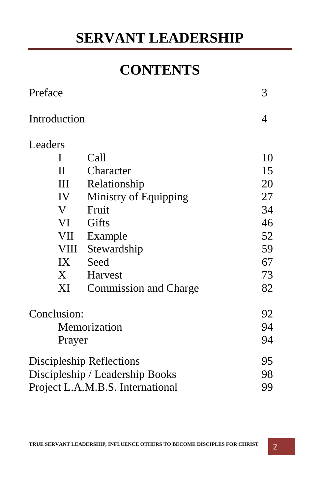## **CONTENTS**

| Preface                          |                            |                              | 3  |
|----------------------------------|----------------------------|------------------------------|----|
| Introduction                     |                            |                              | 4  |
| Leaders                          |                            |                              |    |
| I                                |                            | Call                         | 10 |
| $\Pi$                            |                            | Character                    | 15 |
|                                  | III                        | Relationship                 | 20 |
| IV                               |                            | Ministry of Equipping        | 27 |
| V                                |                            | Fruit                        | 34 |
| VI                               |                            | Gifts                        | 46 |
|                                  | VII                        | Example                      | 52 |
|                                  | VIII                       | Stewardship                  | 59 |
|                                  | IX                         | Seed                         | 67 |
| $X_{-}$                          |                            | Harvest                      | 73 |
|                                  | $\boldsymbol{\mathrm{XI}}$ | <b>Commission and Charge</b> | 82 |
| Conclusion:                      |                            |                              | 92 |
| Memorization                     |                            |                              | 94 |
| Prayer                           |                            |                              | 94 |
| Discipleship Reflections         |                            |                              | 95 |
| Discipleship / Leadership Books  |                            |                              | 98 |
| Project L.A.M.B.S. International |                            |                              | 99 |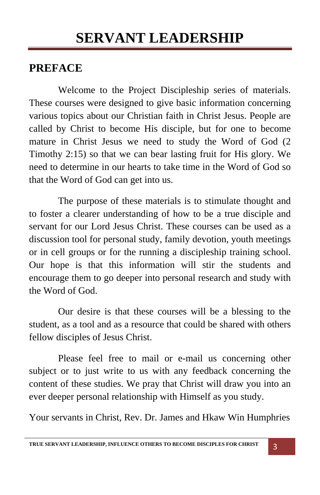### **PREFACE**

 Welcome to the Project Discipleship series of materials. These courses were designed to give basic information concerning various topics about our Christian faith in Christ Jesus. People are called by Christ to become His disciple, but for one to become mature in Christ Jesus we need to study the Word of God (2 Timothy 2:15) so that we can bear lasting fruit for His glory. We need to determine in our hearts to take time in the Word of God so that the Word of God can get into us.

 The purpose of these materials is to stimulate thought and to foster a clearer understanding of how to be a true disciple and servant for our Lord Jesus Christ. These courses can be used as a discussion tool for personal study, family devotion, youth meetings or in cell groups or for the running a discipleship training school. Our hope is that this information will stir the students and encourage them to go deeper into personal research and study with the Word of God.

 Our desire is that these courses will be a blessing to the student, as a tool and as a resource that could be shared with others fellow disciples of Jesus Christ.

 Please feel free to mail or e-mail us concerning other subject or to just write to us with any feedback concerning the content of these studies. We pray that Christ will draw you into an ever deeper personal relationship with Himself as you study.

Your servants in Christ, Rev. Dr. James and Hkaw Win Humphries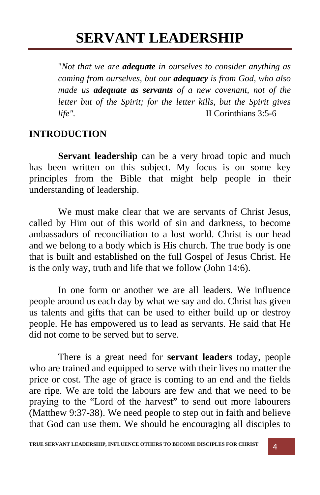"*Not that we are adequate in ourselves to consider anything as coming from ourselves, but our adequacy is from God, who also made us adequate as servants of a new covenant, not of the letter but of the Spirit; for the letter kills, but the Spirit gives life"*. II Corinthians 3:5-6

#### **INTRODUCTION**

Servant leadership can be a very broad topic and much has been written on this subject. My focus is on some key principles from the Bible that might help people in their understanding of leadership.

We must make clear that we are servants of Christ Jesus, called by Him out of this world of sin and darkness, to become ambassadors of reconciliation to a lost world. Christ is our head and we belong to a body which is His church. The true body is one that is built and established on the full Gospel of Jesus Christ. He is the only way, truth and life that we follow (John 14:6).

 In one form or another we are all leaders. We influence people around us each day by what we say and do. Christ has given us talents and gifts that can be used to either build up or destroy people. He has empowered us to lead as servants. He said that He did not come to be served but to serve.

 There is a great need for **servant leaders** today, people who are trained and equipped to serve with their lives no matter the price or cost. The age of grace is coming to an end and the fields are ripe. We are told the labours are few and that we need to be praying to the "Lord of the harvest" to send out more labourers (Matthew 9:37-38). We need people to step out in faith and believe that God can use them. We should be encouraging all disciples to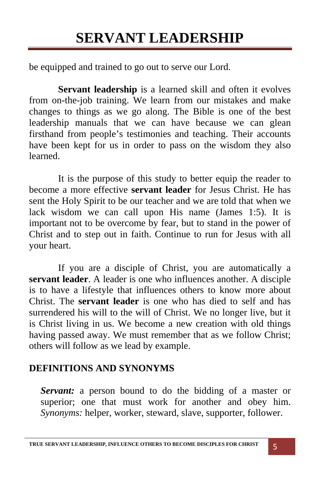be equipped and trained to go out to serve our Lord.

**Servant leadership** is a learned skill and often it evolves from on-the-job training. We learn from our mistakes and make changes to things as we go along. The Bible is one of the best leadership manuals that we can have because we can glean firsthand from people's testimonies and teaching. Their accounts have been kept for us in order to pass on the wisdom they also learned.

 It is the purpose of this study to better equip the reader to become a more effective **servant leader** for Jesus Christ. He has sent the Holy Spirit to be our teacher and we are told that when we lack wisdom we can call upon His name (James 1:5). It is important not to be overcome by fear, but to stand in the power of Christ and to step out in faith. Continue to run for Jesus with all your heart.

 If you are a disciple of Christ, you are automatically a **servant leader**. A leader is one who influences another. A disciple is to have a lifestyle that influences others to know more about Christ. The **servant leader** is one who has died to self and has surrendered his will to the will of Christ. We no longer live, but it is Christ living in us. We become a new creation with old things having passed away. We must remember that as we follow Christ; others will follow as we lead by example.

#### **DEFINITIONS AND SYNONYMS**

*Servant:* a person bound to do the bidding of a master or superior; one that must work for another and obey him. *Synonyms:* helper, worker, steward, slave, supporter, follower.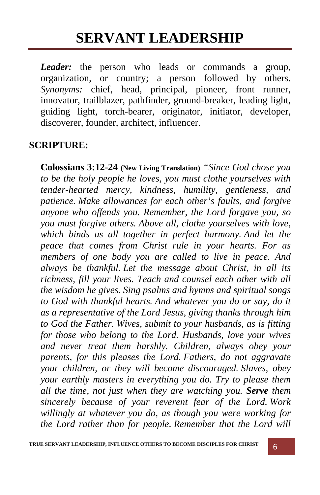*Leader:* the person who leads or commands a group, organization, or country; a person followed by others. *Synonyms:* chief, head, principal, pioneer, front runner, innovator, trailblazer, pathfinder, ground-breaker, leading light, guiding light, torch-bearer, originator, initiator, developer, discoverer, founder, architect, influencer.

#### **SCRIPTURE:**

**Colossians 3:12-24 (New Living Translation)** *"Since God chose you to be the holy people he loves, you must clothe yourselves with tender-hearted mercy, kindness, humility, gentleness, and patience. Make allowances for each other's faults, and forgive anyone who offends you. Remember, the Lord forgave you, so you must forgive others. Above all, clothe yourselves with love, which binds us all together in perfect harmony. And let the peace that comes from Christ rule in your hearts. For as members of one body you are called to live in peace. And always be thankful. Let the message about Christ, in all its richness, fill your lives. Teach and counsel each other with all the wisdom he gives. Sing psalms and hymns and spiritual songs to God with thankful hearts. And whatever you do or say, do it as a representative of the Lord Jesus, giving thanks through him to God the Father. Wives, submit to your husbands, as is fitting for those who belong to the Lord. Husbands, love your wives and never treat them harshly. Children, always obey your parents, for this pleases the Lord. Fathers, do not aggravate your children, or they will become discouraged. Slaves, obey your earthly masters in everything you do. Try to please them all the time, not just when they are watching you. Serve them sincerely because of your reverent fear of the Lord. Work willingly at whatever you do, as though you were working for the Lord rather than for people. Remember that the Lord will*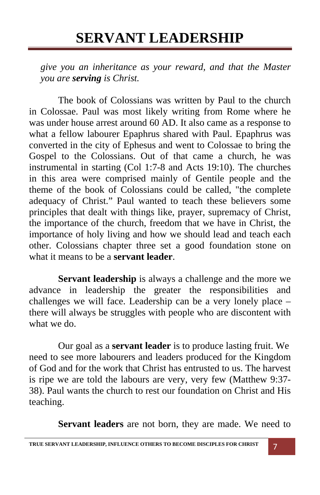*give you an inheritance as your reward, and that the Master you are serving is Christ.* 

 The book of Colossians was written by Paul to the church in Colossae. Paul was most likely writing from Rome where he was under house arrest around 60 AD. It also came as a response to what a fellow labourer Epaphrus shared with Paul. Epaphrus was converted in the city of Ephesus and went to Colossae to bring the Gospel to the Colossians. Out of that came a church, he was instrumental in starting (Col 1:7-8 and Acts 19:10). The churches in this area were comprised mainly of Gentile people and the theme of the book of Colossians could be called, "the complete adequacy of Christ." Paul wanted to teach these believers some principles that dealt with things like, prayer, supremacy of Christ, the importance of the church, freedom that we have in Christ, the importance of holy living and how we should lead and teach each other. Colossians chapter three set a good foundation stone on what it means to be a **servant leader**.

**Servant leadership** is always a challenge and the more we advance in leadership the greater the responsibilities and challenges we will face. Leadership can be a very lonely place – there will always be struggles with people who are discontent with what we do.

Our goal as a **servant leader** is to produce lasting fruit. We need to see more labourers and leaders produced for the Kingdom of God and for the work that Christ has entrusted to us. The harvest is ripe we are told the labours are very, very few (Matthew 9:37- 38). Paul wants the church to rest our foundation on Christ and His teaching.

**Servant leaders** are not born, they are made. We need to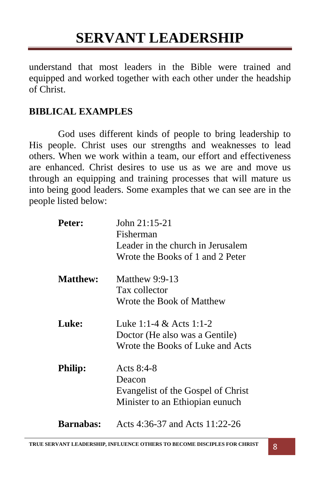understand that most leaders in the Bible were trained and equipped and worked together with each other under the headship of Christ.

#### **BIBLICAL EXAMPLES**

 God uses different kinds of people to bring leadership to His people. Christ uses our strengths and weaknesses to lead others. When we work within a team, our effort and effectiveness are enhanced. Christ desires to use us as we are and move us through an equipping and training processes that will mature us into being good leaders. Some examples that we can see are in the people listed below:

| Peter:           | John $21:15-21$<br>Fisherman<br>Leader in the church in Jerusalem<br>Wrote the Books of 1 and 2 Peter |
|------------------|-------------------------------------------------------------------------------------------------------|
| <b>Matthew:</b>  | Matthew $9:9-13$<br>Tax collector<br>Wrote the Book of Matthew                                        |
| Luke:            | Luke 1:1-4 & Acts 1:1-2<br>Doctor (He also was a Gentile)<br>Wrote the Books of Luke and Acts         |
| <b>Philip:</b>   | Acts $8:4-8$<br>Deacon<br>Evangelist of the Gospel of Christ<br>Minister to an Ethiopian eunuch       |
| <b>Barnabas:</b> | Acts 4:36-37 and Acts 11:22-26                                                                        |